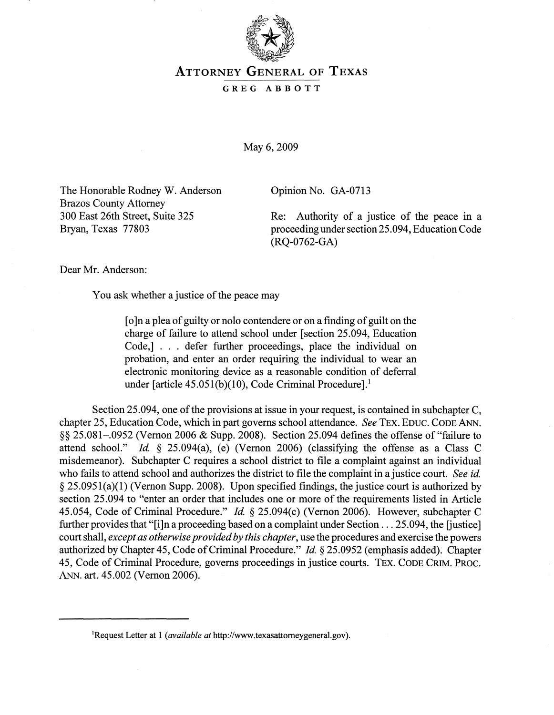

## ATTORNEY GENERAL OF TEXAS

## GREG ABBOTT

May 6, 2009

The Honorable Rodney W. Anderson Brazos County Attorney 300 East 26th Street, Suite 325 Bryan, Texas 77803

Opinion No. GA-0713

Re: Authority of a justice of the peace in a proceeding under section 25.094, Education Code (RQ-0762-GA)

Dear Mr. Anderson:

You ask whether a justice of the peace may

[o]n a plea of guilty or nolo contendere or on a finding of guilt on the charge of failure to attend school under [section 25.094, Education Code,] . . . defer further proceedings, place the individual on probation, and enter an order requiring the individual to wear an electronic monitoring device as a reasonable condition of deferral under [article 45.051(b)(10), Code Criminal Procedure].<sup>1</sup>

Section 25.094, one of the provisions at issue in your request, is contained in subchapter C, chapter 25, Education Code, which in part governs school attendance. *See* TEX. EDUC. CODE ANN. §§ 25.081–.0952 (Vernon 2006 & Supp. 2008). Section 25.094 defines the offense of "failure to attend school." *Id.* § 25.094(a), (e) (Vernon 2006) (classifying the offense as a Class C misdemeanor). Subchapter C requires a school district to file a complaint against an individual who fails to attend school and authorizes the district to file the complaint in a justice court. *See id.*  § 25.0951(a)(1) (Vernon Supp. 2008). Upon specified findings, the justice court is authorized by section 25.094 to "enter an order that includes one or more of the requirements listed in Article 45.054, Code of Criminal Procedure." *Id.* § 25.094(c) (Vernon 2006). However, subchapter C further provides that "[i]n a proceeding based on a complaint under Section ... 25.094, the [justice] court shall, *except as otherwise provided by this chapter,* use the procedures and exercise the powers authorized by Chapter 45, Code of Criminal Procedure." *Id.* § 25.0952 (emphasis added). Chapter 45, Code of Criminal Procedure, governs proceedings in justice courts. TEx. CODE CRIM. PROC. ANN. art. 45.002 (Vernon 2006).

<sup>&</sup>lt;sup>1</sup>Request Letter at 1 (*available at* http://www.texasattorneygeneral.gov).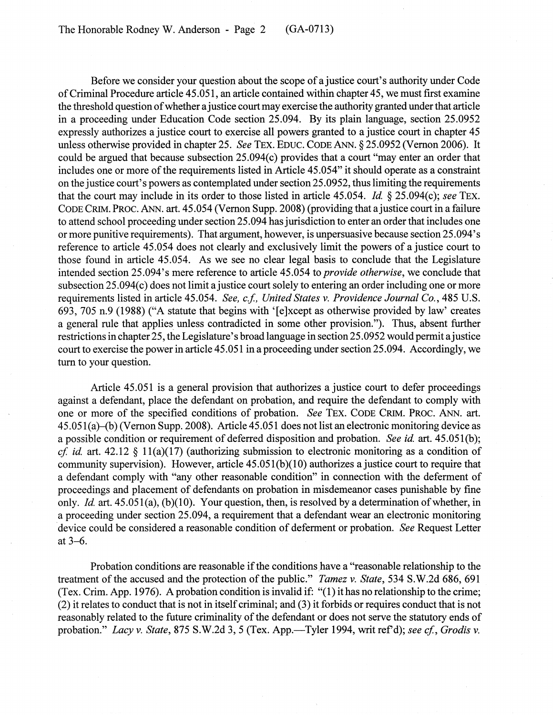Before we consider your question about the scope of a justice court's authority under Code of Criminal Procedure article 45.051, an article contained within chapter 45, we must first examine the threshold question of whether a justice court may exercise the authority granted under that article in a proceeding under Education Code section 25.094. By its plain language, section 25.0952 expressly authorizes a justice court to exercise all powers granted to a justice court in chapter 45 unless otherwise provided in chapter 25. *See TEX. EDUC. CODE ANN.* § 25.0952 (Vernon 2006). It could be argued that because subsection 25.094(c) provides that a court "may enter an order that includes one or more of the requirements listed in Article 45.054" it should operate as a constraint on the justice court's powers as contemplated under section 25.0952, thus limiting the requirements that the court may include in its order to those listed in article 45.054. *Id* § 25.094(c); *see* TEx. CODE CRIM. PROC. ANN. art. 45.054 (Vernon Supp. 2008) (providing that a justice court in a failure to attend school proceeding under section 25.094 has jurisdiction to enter an order that includes one or more punitive requirements). That argument, however, is unpersuasive because section 25.094's reference to article 45.054 does not clearly and exclusively limit the powers of a justice court to those found in article 45.054. As we see no clear legal basis to conclude that the Legislature intended section 25.094's mere reference to article 45.054 to *provide otherwise,* we conclude that subsection 25.094(c) does not limit a justice court solely to entering an order including one or more requirements listed in article 45.054. *See, c.f, United States* v. *Providence Journal Co.,* 485 U.S. 693, 705 n.9 (1988) ("A statute that begins with '[e]xcept as otherwise provided by law' creates a general rule that applies unless contradicted in some other provision."). Thus, absent further restrictions in chapter 25, the Legislature's broad language in section 25.0952 would permit a justice court to exercise the power in article 45.051 in a proceeding under section 25.094. Accordingly, we turn to your question.

Article 45.051 is a general provision that authorizes a justice court to defer proceedings against a defendant, place the defendant on probation, and require the defendant to comply with one or more of the specified conditions of probation. *See TEX. CODE CRIM. PROC. ANN. art.* 45.051 (a}-(b) (Vernon Supp. 2008). Article 45.051 does not list an electronic monitoring device as a possible condition or requirement of deferred disposition and probation. *See id.* art.45.051(b); *cf id* art. 42.12 § 11(a)(17) (authorizing submission to electronic monitoring as a condition of community supervision). However, article  $45.051(b)(10)$  authorizes a justice court to require that a defendant comply with "any other reasonable condition" in connection with the deferment of proceedings and placement of defendants on probation in misdemeanor cases punishable by fine only. *Id* art. 45.051(a), (b)(1O). Your question, then, is resolved by a determination of whether, in a proceeding under section 25.094, a requirement that a defendant wear an electronic monitoring device could be considered a reasonable condition of deferment or probation. *See* Request Letter at  $3-6$ .

Probation conditions are reasonable if the conditions have a "reasonable relationship to the treatment of the accused and the protection of the public." *Tamez* v. *State,* 534 S.W.2d 686,691 (Tex. Crim. App. 1976). A probation condition is invalid if: "(1) it has no relationship to the crime; (2) it relates to conduct that is not in itself criminal; and (3) it forbids or requires conduct that is not reasonably related to the future criminality of the defendant or does not serve the statutory ends of probation." *Lacy v. State, 875 S.W.2d 3, 5 (Tex. App.*—Tyler 1994, writ ref'd); *see cf., Grodis v.*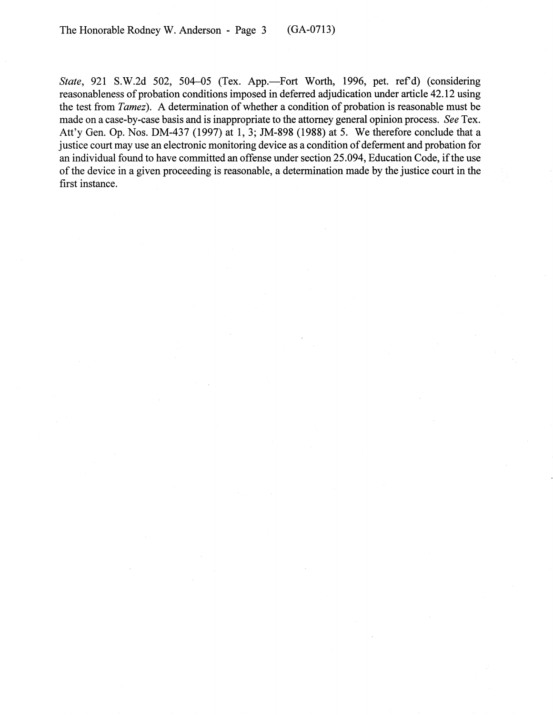The Honorable Rodney W. Anderson - Page 3 (GA-0713)

State, 921 S.W.2d 502, 504-05 (Tex. App.-Fort Worth, 1996, pet. ref'd) (considering reasonableness of probation conditions imposed in deferred adjudication under article 42.12 using the test from *Tamez).* A determination of whether a condition of probation is reasonable must be made on a case-by-case basis and is inappropriate to the attorney general opinion process. *See* Tex. Att'y Gen. Op. Nos. DM-437 (1997) at 1, 3; JM-898 (1988) at 5. We therefore conclude that a justice court may use an electronic monitoring device as a condition of deferment and probation for an individual found to have committed an offense under section 25.094, Education Code, if the use of the device in a given proceeding is reasonable, a determination made by the justice court in the first instance.